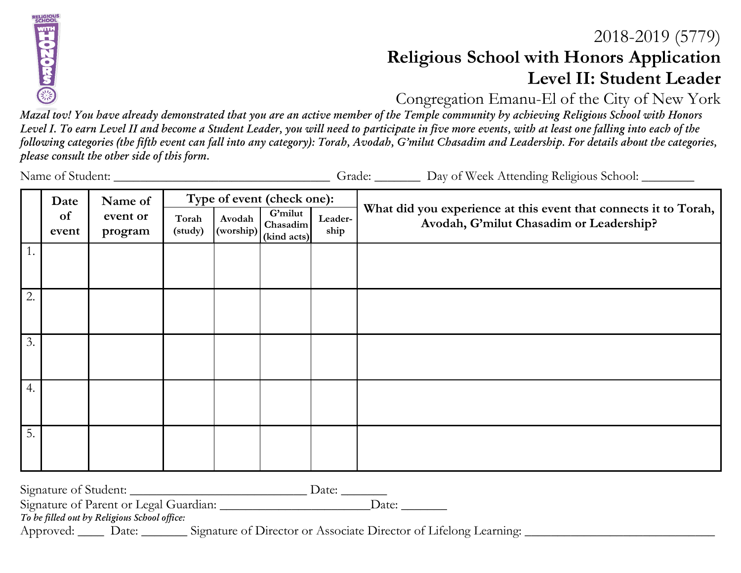

## 2018-2019 (5779) **Religious School with Honors Application Level II: Student Leader**

Congregation Emanu-El of the City of New York

*Mazal tov! You have already demonstrated that you are an active member of the Temple community by achieving Religious School with Honors Level I. To earn Level II and become a Student Leader, you will need to participate in five more events, with at least one falling into each of the following categories (the fifth event can fall into any category): Torah, Avodah, G'milut Chasadim and Leadership. For details about the categories, please consult the other side of this form.* 

Name of Student: \_\_\_\_\_\_\_\_\_\_\_\_\_\_\_\_\_\_\_\_\_\_\_\_\_\_\_\_\_\_\_\_\_ Grade: \_\_\_\_\_\_\_ Day of Week Attending Religious School: \_\_\_\_\_\_\_\_ **Date of event Name of event or program Type of event (check one): What did you experience at this event that connects it to Torah, Avodah, G'milut Chasadim or Leadership? Torah (study) Avodah (worship) G'milut Chasadim (kind acts) Leadership** 1. 2. 3. 4. 5.

Signature of Student: \_\_\_\_\_\_\_\_\_\_\_\_\_\_\_\_\_\_\_\_\_\_\_\_\_\_\_ Date: \_\_\_\_\_\_\_

Signature of Parent or Legal Guardian: \_\_\_\_\_\_\_\_\_\_\_\_\_\_\_\_\_\_\_\_\_\_\_\_\_\_\_\_\_Date: \_\_\_\_\_\_\_\_

*To be filled out by Religious School office:*

Approved: \_\_\_\_ Date: \_\_\_\_\_\_\_ Signature of Director or Associate Director of Lifelong Learning: \_\_\_\_\_\_\_\_\_\_\_\_\_\_\_\_\_\_\_\_\_\_\_\_\_\_\_\_\_